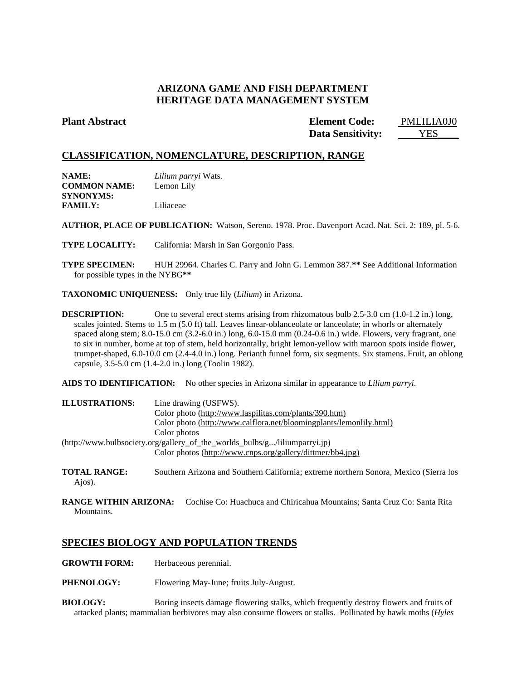# **ARIZONA GAME AND FISH DEPARTMENT HERITAGE DATA MANAGEMENT SYSTEM**

**Plant Abstract Element Code:** PMLILIA0J0 **Data Sensitivity:** YES

# **CLASSIFICATION, NOMENCLATURE, DESCRIPTION, RANGE**

| <b>NAME:</b>        | Lilium parryi Wats. |
|---------------------|---------------------|
| <b>COMMON NAME:</b> | Lemon Lily          |
| SYNONYMS:           |                     |
| <b>FAMILY:</b>      | Liliaceae           |

**AUTHOR, PLACE OF PUBLICATION:** Watson, Sereno. 1978. Proc. Davenport Acad. Nat. Sci. 2: 189, pl. 5-6.

**TYPE LOCALITY:** California: Marsh in San Gorgonio Pass.

**TYPE SPECIMEN:** HUH 29964. Charles C. Parry and John G. Lemmon 387.**\*\*** See Additional Information for possible types in the NYBG**\*\***

**TAXONOMIC UNIQUENESS:** Only true lily (*Lilium*) in Arizona.

**DESCRIPTION:** One to several erect stems arising from rhizomatous bulb 2.5-3.0 cm (1.0-1.2 in.) long, scales jointed. Stems to 1.5 m (5.0 ft) tall. Leaves linear-oblanceolate or lanceolate; in whorls or alternately spaced along stem; 8.0-15.0 cm (3.2-6.0 in.) long, 6.0-15.0 mm (0.24-0.6 in.) wide. Flowers, very fragrant, one to six in number, borne at top of stem, held horizontally, bright lemon-yellow with maroon spots inside flower, trumpet-shaped, 6.0-10.0 cm (2.4-4.0 in.) long. Perianth funnel form, six segments. Six stamens. Fruit, an oblong capsule, 3.5-5.0 cm (1.4-2.0 in.) long (Toolin 1982).

**AIDS TO IDENTIFICATION:** No other species in Arizona similar in appearance to *Lilium parryi*.

| <b>ILLUSTRATIONS:</b>                                                      | Line drawing (USFWS).                                               |
|----------------------------------------------------------------------------|---------------------------------------------------------------------|
|                                                                            | Color photo (http://www.laspilitas.com/plants/390.htm)              |
|                                                                            | Color photo (http://www.calflora.net/bloomingplants/lemonlily.html) |
|                                                                            | Color photos                                                        |
| (http://www.bulbsociety.org/gallery_of_the_worlds_bulbs/g/liliumparryi.jp) |                                                                     |
|                                                                            | Color photos (http://www.cnps.org/gallery/dittmer/bb4.jpg)          |

- **TOTAL RANGE:** Southern Arizona and Southern California; extreme northern Sonora, Mexico (Sierra los Ajos).
- **RANGE WITHIN ARIZONA:** Cochise Co: Huachuca and Chiricahua Mountains; Santa Cruz Co: Santa Rita Mountains.

# **SPECIES BIOLOGY AND POPULATION TRENDS**

- **GROWTH FORM:** Herbaceous perennial.
- **PHENOLOGY:** Flowering May-June; fruits July-August.
- **BIOLOGY:** Boring insects damage flowering stalks, which frequently destroy flowers and fruits of attacked plants; mammalian herbivores may also consume flowers or stalks. Pollinated by hawk moths (*Hyles*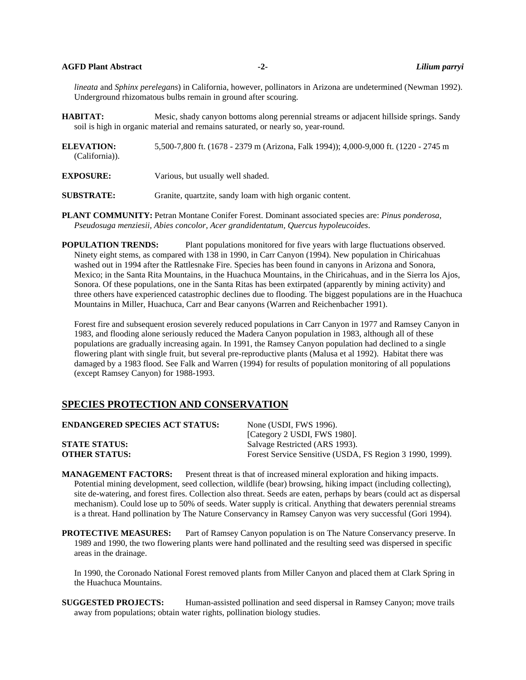### **AGFD Plant Abstract -2-** *Lilium parryi*

*lineata* and *Sphinx perelegans*) in California, however, pollinators in Arizona are undetermined (Newman 1992). Underground rhizomatous bulbs remain in ground after scouring.

**HABITAT:** Mesic, shady canyon bottoms along perennial streams or adjacent hillside springs. Sandy soil is high in organic material and remains saturated, or nearly so, year-round.

**ELEVATION:** 5,500-7,800 ft. (1678 - 2379 m (Arizona, Falk 1994)); 4,000-9,000 ft. (1220 - 2745 m (California)).

**EXPOSURE:** Various, but usually well shaded.

**SUBSTRATE:** Granite, quartzite, sandy loam with high organic content.

**PLANT COMMUNITY:** Petran Montane Conifer Forest. Dominant associated species are: *Pinus ponderosa, Pseudosuga menziesii, Abies concolor, Acer grandidentatum, Quercus hypoleucoides*.

**POPULATION TRENDS:** Plant populations monitored for five years with large fluctuations observed. Ninety eight stems, as compared with 138 in 1990, in Carr Canyon (1994). New population in Chiricahuas washed out in 1994 after the Rattlesnake Fire. Species has been found in canyons in Arizona and Sonora, Mexico; in the Santa Rita Mountains, in the Huachuca Mountains, in the Chiricahuas, and in the Sierra los Ajos, Sonora. Of these populations, one in the Santa Ritas has been extirpated (apparently by mining activity) and three others have experienced catastrophic declines due to flooding. The biggest populations are in the Huachuca Mountains in Miller, Huachuca, Carr and Bear canyons (Warren and Reichenbacher 1991).

Forest fire and subsequent erosion severely reduced populations in Carr Canyon in 1977 and Ramsey Canyon in 1983, and flooding alone seriously reduced the Madera Canyon population in 1983, although all of these populations are gradually increasing again. In 1991, the Ramsey Canyon population had declined to a single flowering plant with single fruit, but several pre-reproductive plants (Malusa et al 1992). Habitat there was damaged by a 1983 flood. See Falk and Warren (1994) for results of population monitoring of all populations (except Ramsey Canyon) for 1988-1993.

# **SPECIES PROTECTION AND CONSERVATION**

| <b>ENDANGERED SPECIES ACT STATUS:</b> | None (USDI, FWS 1996).                                   |
|---------------------------------------|----------------------------------------------------------|
|                                       | [Category 2 USDI, FWS 1980].                             |
| <b>STATE STATUS:</b>                  | Salvage Restricted (ARS 1993).                           |
| <b>OTHER STATUS:</b>                  | Forest Service Sensitive (USDA, FS Region 3 1990, 1999). |
|                                       |                                                          |

**MANAGEMENT FACTORS:** Present threat is that of increased mineral exploration and hiking impacts. Potential mining development, seed collection, wildlife (bear) browsing, hiking impact (including collecting), site de-watering, and forest fires. Collection also threat. Seeds are eaten, perhaps by bears (could act as dispersal mechanism). Could lose up to 50% of seeds. Water supply is critical. Anything that dewaters perennial streams is a threat. Hand pollination by The Nature Conservancy in Ramsey Canyon was very successful (Gori 1994).

**PROTECTIVE MEASURES:** Part of Ramsey Canyon population is on The Nature Conservancy preserve. In 1989 and 1990, the two flowering plants were hand pollinated and the resulting seed was dispersed in specific areas in the drainage.

In 1990, the Coronado National Forest removed plants from Miller Canyon and placed them at Clark Spring in the Huachuca Mountains.

**SUGGESTED PROJECTS:** Human-assisted pollination and seed dispersal in Ramsey Canyon; move trails away from populations; obtain water rights, pollination biology studies.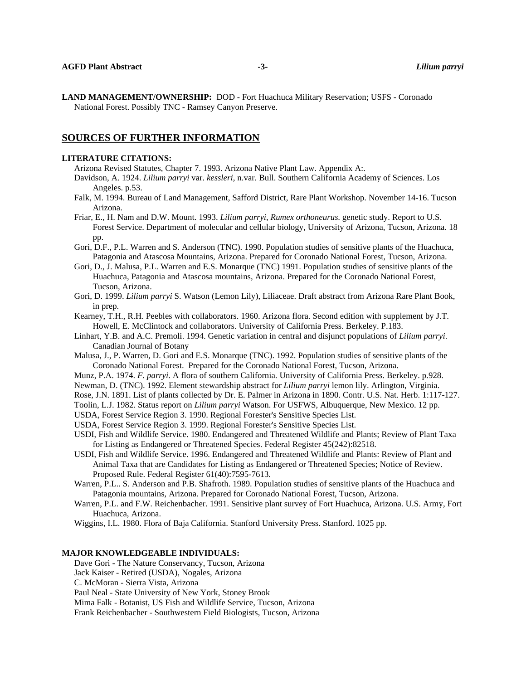**LAND MANAGEMENT/OWNERSHIP:** DOD - Fort Huachuca Military Reservation; USFS - Coronado National Forest. Possibly TNC - Ramsey Canyon Preserve.

## **SOURCES OF FURTHER INFORMATION**

#### **LITERATURE CITATIONS:**

- Arizona Revised Statutes, Chapter 7. 1993. Arizona Native Plant Law. Appendix A:.
- Davidson, A. 1924. *Lilium parryi* var. *kessleri*, n.var. Bull. Southern California Academy of Sciences. Los Angeles. p.53.
- Falk, M. 1994. Bureau of Land Management, Safford District, Rare Plant Workshop. November 14-16. Tucson Arizona.
- Friar, E., H. Nam and D.W. Mount. 1993. *Lilium parryi, Rumex orthoneurus*. genetic study. Report to U.S. Forest Service. Department of molecular and cellular biology, University of Arizona, Tucson, Arizona. 18 pp.
- Gori, D.F., P.L. Warren and S. Anderson (TNC). 1990. Population studies of sensitive plants of the Huachuca, Patagonia and Atascosa Mountains, Arizona. Prepared for Coronado National Forest, Tucson, Arizona.
- Gori, D., J. Malusa, P.L. Warren and E.S. Monarque (TNC) 1991. Population studies of sensitive plants of the Huachuca, Patagonia and Atascosa mountains, Arizona. Prepared for the Coronado National Forest, Tucson, Arizona.
- Gori, D. 1999. *Lilium parryi* S. Watson (Lemon Lily), Liliaceae. Draft abstract from Arizona Rare Plant Book, in prep.
- Kearney, T.H., R.H. Peebles with collaborators. 1960. Arizona flora. Second edition with supplement by J.T. Howell, E. McClintock and collaborators. University of California Press. Berkeley. P.183.
- Linhart, Y.B. and A.C. Premoli. 1994. Genetic variation in central and disjunct populations of *Lilium parryi*. Canadian Journal of Botany
- Malusa, J., P. Warren, D. Gori and E.S. Monarque (TNC). 1992. Population studies of sensitive plants of the Coronado National Forest. Prepared for the Coronado National Forest, Tucson, Arizona.
- Munz, P.A. 1974. *F. parryi*. A flora of southern California. University of California Press. Berkeley. p.928.
- Newman, D. (TNC). 1992. Element stewardship abstract for *Lilium parryi* lemon lily. Arlington, Virginia.
- Rose, J.N. 1891. List of plants collected by Dr. E. Palmer in Arizona in 1890. Contr. U.S. Nat. Herb. 1:117-127.
- Toolin, L.J. 1982. Status report on *Lilium parryi* Watson. For USFWS, Albuquerque, New Mexico. 12 pp.
- USDA, Forest Service Region 3. 1990. Regional Forester's Sensitive Species List.
- USDA, Forest Service Region 3. 1999. Regional Forester's Sensitive Species List.
- USDI, Fish and Wildlife Service. 1980. Endangered and Threatened Wildlife and Plants; Review of Plant Taxa for Listing as Endangered or Threatened Species. Federal Register 45(242):82518.
- USDI, Fish and Wildlife Service. 1996. Endangered and Threatened Wildlife and Plants: Review of Plant and Animal Taxa that are Candidates for Listing as Endangered or Threatened Species; Notice of Review. Proposed Rule. Federal Register 61(40):7595-7613.
- Warren, P.L.. S. Anderson and P.B. Shafroth. 1989. Population studies of sensitive plants of the Huachuca and Patagonia mountains, Arizona. Prepared for Coronado National Forest, Tucson, Arizona.
- Warren, P.L. and F.W. Reichenbacher. 1991. Sensitive plant survey of Fort Huachuca, Arizona. U.S. Army, Fort Huachuca, Arizona.
- Wiggins, I.L. 1980. Flora of Baja California. Stanford University Press. Stanford. 1025 pp.

### **MAJOR KNOWLEDGEABLE INDIVIDUALS:**

Dave Gori - The Nature Conservancy, Tucson, Arizona

Jack Kaiser - Retired (USDA), Nogales, Arizona

C. McMoran - Sierra Vista, Arizona

Paul Neal - State University of New York, Stoney Brook

Mima Falk - Botanist, US Fish and Wildlife Service, Tucson, Arizona

Frank Reichenbacher - Southwestern Field Biologists, Tucson, Arizona